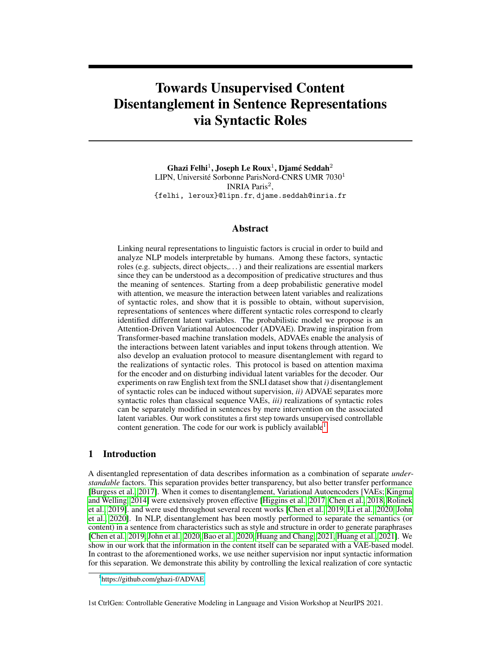# Towards Unsupervised Content Disentanglement in Sentence Representations via Syntactic Roles

Ghazi Felhi $^1$ , Joseph Le Roux $^1$ , Djamé Seddah $^2$ LIPN, Université Sorbonne ParisNord-CNRS UMR 7030<sup>1</sup> INRIA Paris<sup>2</sup>, {felhi, leroux}@lipn.fr, djame.seddah@inria.fr

# Abstract

Linking neural representations to linguistic factors is crucial in order to build and analyze NLP models interpretable by humans. Among these factors, syntactic roles (e.g. subjects, direct objects,. . . ) and their realizations are essential markers since they can be understood as a decomposition of predicative structures and thus the meaning of sentences. Starting from a deep probabilistic generative model with attention, we measure the interaction between latent variables and realizations of syntactic roles, and show that it is possible to obtain, without supervision, representations of sentences where different syntactic roles correspond to clearly identified different latent variables. The probabilistic model we propose is an Attention-Driven Variational Autoencoder (ADVAE). Drawing inspiration from Transformer-based machine translation models, ADVAEs enable the analysis of the interactions between latent variables and input tokens through attention. We also develop an evaluation protocol to measure disentanglement with regard to the realizations of syntactic roles. This protocol is based on attention maxima for the encoder and on disturbing individual latent variables for the decoder. Our experiments on raw English text from the SNLI dataset show that *i)* disentanglement of syntactic roles can be induced without supervision, *ii)* ADVAE separates more syntactic roles than classical sequence VAEs, *iii)* realizations of syntactic roles can be separately modified in sentences by mere intervention on the associated latent variables. Our work constitutes a first step towards unsupervised controllable content generation. The code for our work is publicly available<sup>[1](#page-0-0)</sup>.

# 1 Introduction

A disentangled representation of data describes information as a combination of separate *understandable* factors. This separation provides better transparency, but also better transfer performance [\[Burgess et al., 2017\]](#page-8-0). When it comes to disentanglement, Variational Autoencoders [VAEs; [Kingma](#page-10-0) [and Welling, 2014\]](#page-10-0) were extensively proven effective [\[Higgins et al., 2017,](#page-9-0) [Chen et al., 2018,](#page-9-1) [Rolinek](#page-11-0) [et al., 2019\]](#page-11-0). and were used throughout several recent works [\[Chen et al., 2019,](#page-8-1) [Li et al., 2020,](#page-10-1) [John](#page-10-2) [et al., 2020\]](#page-10-2). In NLP, disentanglement has been mostly performed to separate the semantics (or content) in a sentence from characteristics such as style and structure in order to generate paraphrases [\[Chen et al., 2019,](#page-8-1) [John et al., 2020,](#page-10-2) [Bao et al., 2020,](#page-8-2) [Huang and Chang, 2021,](#page-10-3) [Huang et al., 2021\]](#page-9-2). We show in our work that the information in the content itself can be separated with a VAE-based model. In contrast to the aforementioned works, we use neither supervision nor input syntactic information for this separation. We demonstrate this ability by controlling the lexical realization of core syntactic

<span id="page-0-0"></span><sup>1</sup> <https://github.com/ghazi-f/ADVAE>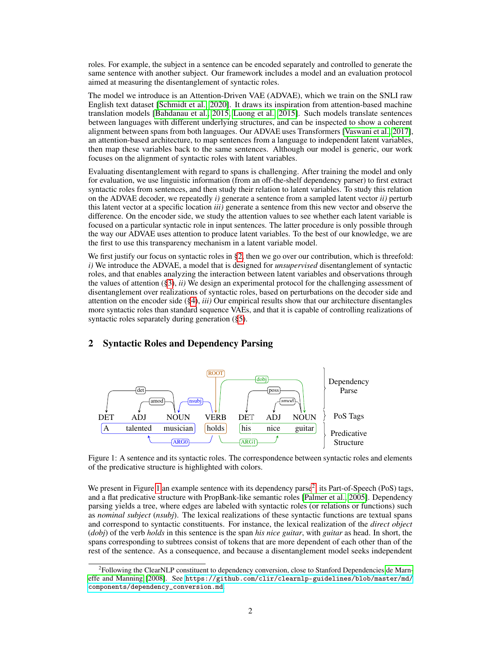roles. For example, the subject in a sentence can be encoded separately and controlled to generate the same sentence with another subject. Our framework includes a model and an evaluation protocol aimed at measuring the disentanglement of syntactic roles.

The model we introduce is an Attention-Driven VAE (ADVAE), which we train on the SNLI raw English text dataset [\[Schmidt et al., 2020\]](#page-11-1). It draws its inspiration from attention-based machine translation models [\[Bahdanau et al., 2015,](#page-8-3) [Luong et al., 2015\]](#page-11-2). Such models translate sentences between languages with different underlying structures, and can be inspected to show a coherent alignment between spans from both languages. Our ADVAE uses Transformers [\[Vaswani et al., 2017\]](#page-11-3), an attention-based architecture, to map sentences from a language to independent latent variables, then map these variables back to the same sentences. Although our model is generic, our work focuses on the alignment of syntactic roles with latent variables.

Evaluating disentanglement with regard to spans is challenging. After training the model and only for evaluation, we use linguistic information (from an off-the-shelf dependency parser) to first extract syntactic roles from sentences, and then study their relation to latent variables. To study this relation on the ADVAE decoder, we repeatedly *i)* generate a sentence from a sampled latent vector *ii)* perturb this latent vector at a specific location *iii)* generate a sentence from this new vector and observe the difference. On the encoder side, we study the attention values to see whether each latent variable is focused on a particular syntactic role in input sentences. The latter procedure is only possible through the way our ADVAE uses attention to produce latent variables. To the best of our knowledge, we are the first to use this transparency mechanism in a latent variable model.

We first justify our focus on syntactic roles in  $\S$ 2, then we go over our contribution, which is threefold: *i)* We introduce the ADVAE, a model that is designed for *unsupervised* disentanglement of syntactic roles, and that enables analyzing the interaction between latent variables and observations through the values of attention ([§3\)](#page-2-0), *ii)* We design an experimental protocol for the challenging assessment of disentanglement over realizations of syntactic roles, based on perturbations on the decoder side and attention on the encoder side ([§4\)](#page-3-0), *iii)* Our empirical results show that our architecture disentangles more syntactic roles than standard sequence VAEs, and that it is capable of controlling realizations of syntactic roles separately during generation ([§5\)](#page-5-0).

<span id="page-1-1"></span>

### <span id="page-1-0"></span>2 Syntactic Roles and Dependency Parsing

Figure 1: A sentence and its syntactic roles. The correspondence between syntactic roles and elements of the predicative structure is highlighted with colors.

We present in Figure [1](#page-1-1) an example sentence with its dependency parse<sup>[2](#page-1-2)</sup>, its Part-of-Speech (PoS) tags, and a flat predicative structure with PropBank-like semantic roles [\[Palmer et al., 2005\]](#page-11-4). Dependency parsing yields a tree, where edges are labeled with syntactic roles (or relations or functions) such as *nominal subject* (*nsubj*). The lexical realizations of these syntactic functions are textual spans and correspond to syntactic constituents. For instance, the lexical realization of the *direct object* (*dobj*) of the verb *holds* in this sentence is the span *his nice guitar*, with *guitar* as head. In short, the spans corresponding to subtrees consist of tokens that are more dependent of each other than of the rest of the sentence. As a consequence, and because a disentanglement model seeks independent

<span id="page-1-2"></span><sup>&</sup>lt;sup>2</sup>Following the ClearNLP constituent to dependency conversion, close to Stanford Dependencies [de Marn](#page-9-3)[effe and Manning](#page-9-3) [\[2008\]](#page-9-3). See [https://github.com/clir/clearnlp-guidelines/blob/master/md/](https://github.com/clir/clearnlp-guidelines/blob/master/md/components/dependency_conversion.md) [components/dependency\\_conversion.md](https://github.com/clir/clearnlp-guidelines/blob/master/md/components/dependency_conversion.md).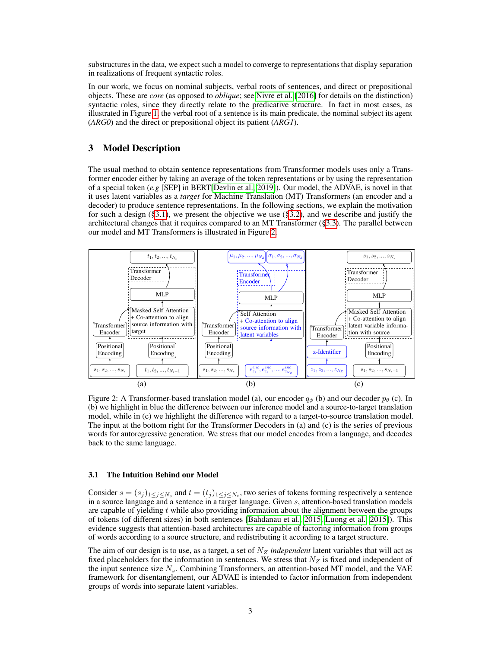substructures in the data, we expect such a model to converge to representations that display separation in realizations of frequent syntactic roles.

In our work, we focus on nominal subjects, verbal roots of sentences, and direct or prepositional objects. These are *core* (as opposed to *oblique*; see [Nivre et al.](#page-11-5) [\[2016\]](#page-11-5) for details on the distinction) syntactic roles, since they directly relate to the predicative structure. In fact in most cases, as illustrated in Figure [1,](#page-1-1) the verbal root of a sentence is its main predicate, the nominal subject its agent (*ARG0*) and the direct or prepositional object its patient (*ARG1*).

### <span id="page-2-0"></span>3 Model Description

The usual method to obtain sentence representations from Transformer models uses only a Transformer encoder either by taking an average of the token representations or by using the representation of a special token (*e.g* [SEP] in BERT[\[Devlin et al., 2019\]](#page-9-4)). Our model, the ADVAE, is novel in that it uses latent variables as a *target* for Machine Translation (MT) Transformers (an encoder and a decoder) to produce sentence representations. In the following sections, we explain the motivation for such a design  $(\S 3.1)$ , we present the objective we use  $(\S 3.2)$ , and we describe and justify the architectural changes that it requires compared to an MT Transformer ([§3.3\)](#page-3-2). The parallel between our model and MT Transformers is illustrated in Figure [2.](#page-2-2)

<span id="page-2-2"></span>

Figure 2: A Transformer-based translation model (a), our encoder  $q_{\phi}$  (b) and our decoder  $p_{\theta}$  (c). In (b) we highlight in blue the difference between our inference model and a source-to-target translation model, while in (c) we highlight the difference with regard to a target-to-source translation model. The input at the bottom right for the Transformer Decoders in (a) and (c) is the series of previous words for autoregressive generation. We stress that our model encodes from a language, and decodes back to the same language.

#### <span id="page-2-1"></span>3.1 The Intuition Behind our Model

Consider  $s = (s_j)_{1 \leq j \leq N_s}$  and  $t = (t_j)_{1 \leq j \leq N_t}$ , two series of tokens forming respectively a sentence in a source language and a sentence in a target language. Given s, attention-based translation models are capable of yielding  $t$  while also providing information about the alignment between the groups of tokens (of different sizes) in both sentences [\[Bahdanau et al., 2015,](#page-8-3) [Luong et al., 2015\]](#page-11-2)). This evidence suggests that attention-based architectures are capable of factoring information from groups of words according to a source structure, and redistributing it according to a target structure.

The aim of our design is to use, as a target, a set of  $N_Z$  *independent* latent variables that will act as fixed placeholders for the information in sentences. We stress that  $N_Z$  is fixed and independent of the input sentence size  $N<sub>s</sub>$ . Combining Transformers, an attention-based MT model, and the VAE framework for disentanglement, our ADVAE is intended to factor information from independent groups of words into separate latent variables.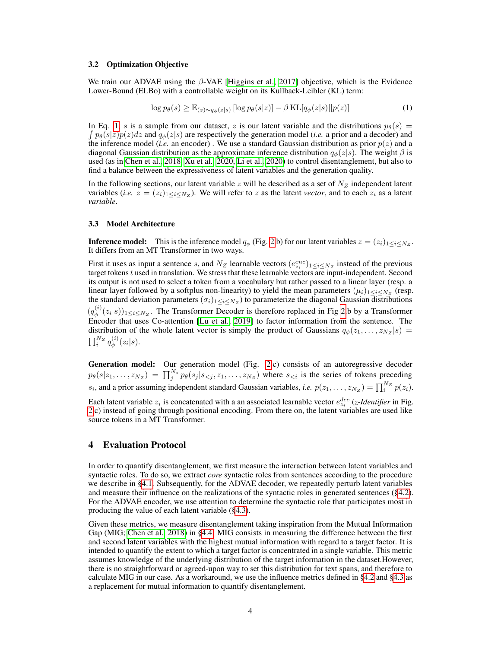#### <span id="page-3-1"></span>3.2 Optimization Objective

We train our ADVAE using the  $\beta$ -VAE [\[Higgins et al., 2017\]](#page-9-0) objective, which is the Evidence Lower-Bound (ELBo) with a controllable weight on its Kullback-Leibler (KL) term:

<span id="page-3-3"></span>
$$
\log p_{\theta}(s) \geq \mathbb{E}_{(z) \sim q_{\phi}(z|s)} [\log p_{\theta}(s|z)] - \beta \operatorname{KL}[q_{\phi}(z|s)||p(z)] \tag{1}
$$

In Eq. [1,](#page-3-3) s is a sample from our dataset, z is our latent variable and the distributions  $p_{\theta}(s)$  =  $\int p_{\theta}(s|z)p(z)dz$  and  $q_{\phi}(z|s)$  are respectively the generation model (*i.e.* a prior and a decoder) and the inference model (*i.e.* an encoder). We use a standard Gaussian distribution as prior  $p(z)$  and a diagonal Gaussian distribution as the approximate inference distribution  $q_{\phi}(z|s)$ . The weight  $\beta$  is used (as in [Chen et al., 2018,](#page-9-1) [Xu et al., 2020,](#page-12-0) [Li et al., 2020\)](#page-10-1) to control disentanglement, but also to find a balance between the expressiveness of latent variables and the generation quality.

In the following sections, our latent variable z will be described as a set of  $N_Z$  independent latent variables (*i.e.*  $z = (z_i)_{1 \le i \le N_Z}$ ). We will refer to z as the latent *vector*, and to each  $z_i$  as a latent *variable*.

#### <span id="page-3-2"></span>3.3 Model Architecture

**Inference model:** This is the inference model  $q_{\phi}$  (Fig. [2.](#page-2-2)b) for our latent variables  $z = (z_i)_{1 \leq i \leq N_Z}$ . It differs from an MT Transformer in two ways.

First it uses as input a sentence s, and  $N_Z$  learnable vectors  $(e_{z_i}^{enc})_{1 \le i \le N_Z}$  instead of the previous target tokens  $t$  used in translation. We stress that these learnable vectors are input-independent. Second its output is not used to select a token from a vocabulary but rather passed to a linear layer (resp. a linear layer followed by a softplus non-linearity) to yield the mean parameters  $(\mu_i)_{1 \leq i \leq N_Z}$  (resp. the standard deviation parameters  $(\sigma_i)_{1 \leq i \leq N_Z}$ ) to parameterize the diagonal Gaussian distributions  $(q_{\phi}^{(i)}$  $\psi_{\phi}^{(i)}(z_i|s))_{1\leq i\leq N_Z}$ . The Transformer Decoder is therefore replaced in Fig [2.](#page-2-2)b by a Transformer Encoder that uses Co-attention [\[Lu et al., 2019\]](#page-10-4) to factor information from the sentence. The distribution of the whole latent vector is simply the product of Gaussians  $q_{\phi}(z_1, \ldots, z_{N_Z} | s)$  =  $\prod_i^{N_Z} q_\phi^{(i)}$  $\phi^{(i)}(z_i|s).$ 

Generation model: Our generation model (Fig. [2.](#page-2-2)c) consists of an autoregressive decoder  $p_{\theta}(s|z_1,\ldots,z_{N_Z}) = \prod_j^{N_s} p_{\theta}(s_j|s_{ where  $s_{ is the series of tokens preceding$$  $s_i$ , and a prior assuming independent standard Gaussian variables, *i.e.*  $p(z_1, \ldots, z_{N_Z}) = \prod_i^{N_Z} p(z_i)$ .

Each latent variable  $z_i$  is concatenated with a an associated learnable vector  $e_{z_i}^{dec}$  (*z-Identifier* in Fig. [2.](#page-2-2)c) instead of going through positional encoding. From there on, the latent variables are used like source tokens in a MT Transformer.

### <span id="page-3-0"></span>4 Evaluation Protocol

In order to quantify disentanglement, we first measure the interaction between latent variables and syntactic roles. To do so, we extract *core* syntactic roles from sentences according to the procedure we describe in [§4.1.](#page-4-0) Subsequently, for the ADVAE decoder, we repeatedly perturb latent variables and measure their influence on the realizations of the syntactic roles in generated sentences ([§4.2\)](#page-4-1). For the ADVAE encoder, we use attention to determine the syntactic role that participates most in producing the value of each latent variable ([§4.3\)](#page-4-2).

Given these metrics, we measure disentanglement taking inspiration from the Mutual Information Gap (MIG; [Chen et al., 2018\)](#page-9-1) in [§4.4.](#page-5-1) MIG consists in measuring the difference between the first and second latent variables with the highest mutual information with regard to a target factor. It is intended to quantify the extent to which a target factor is concentrated in a single variable. This metric assumes knowledge of the underlying distribution of the target information in the dataset.However, there is no straightforward or agreed-upon way to set this distribution for text spans, and therefore to calculate MIG in our case. As a workaround, we use the influence metrics defined in [§4.2](#page-4-1) and [§4.3](#page-4-2) as a replacement for mutual information to quantify disentanglement.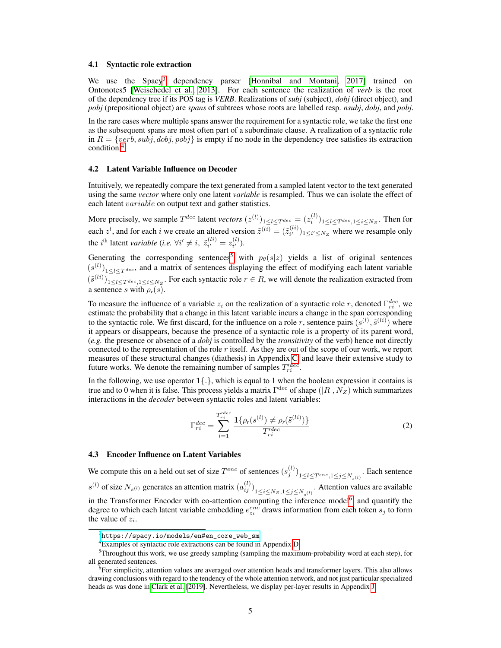#### <span id="page-4-0"></span>4.1 Syntactic role extraction

We use the Spacy<sup>[3](#page-4-3)</sup> dependency parser [\[Honnibal and Montani, 2017\]](#page-9-5) trained on Ontonotes5 [\[Weischedel et al., 2013\]](#page-11-6). For each sentence the realization of *verb* is the root of the dependency tree if its POS tag is *VERB*. Realizations of *subj* (subject), *dobj* (direct object), and *pobj* (prepositional object) are *spans* of subtrees whose roots are labelled resp. *nsubj*, *dobj*, and *pobj*.

In the rare cases where multiple spans answer the requirement for a syntactic role, we take the first one as the subsequent spans are most often part of a subordinate clause. A realization of a syntactic role in  $R = \{verb,sub,subj, dobj, pobj\}$  is empty if no node in the dependency tree satisfies its extraction condition.[4](#page-4-4)

#### <span id="page-4-1"></span>4.2 Latent Variable Influence on Decoder

Intuitively, we repeatedly compare the text generated from a sampled latent vector to the text generated using the same *vector* where only one latent *variable* is resampled. Thus we can isolate the effect of each latent *variable* on output text and gather statistics.

More precisely, we sample  $T^{dec}$  latent *vectors*  $(z^{(l)})_{1 \le l \le T^{dec}} = (z_i^{(l)})_{1 \le l \le T^{dec}, 1 \le i \le N_Z}$ . Then for each  $z^l$ , and for each i we create an altered version  $\tilde{z}^{(li)} = (\tilde{z}_{i'}^{(li)})$  $\binom{u}{i'}$ <sub>1 $\leq i' \leq N_Z$ </sub> where we resample only the *i*<sup>th</sup> latent *variable* (*i.e.*  $\forall i' \neq i$ ,  $\tilde{z}_{i'}^{(li)}$  $z_i^{(li)} = z_{i'}^{(l)}$  $\binom{u}{i'}$ .

Generating the corresponding sentences<sup>[5](#page-4-5)</sup> with  $p_\theta(s|z)$  yields a list of original sentences  $(s^{(l)})_{1 \leq l \leq T^{dec}}$ , and a matrix of sentences displaying the effect of modifying each latent variable  $(\tilde{s}^{(li)})_{1 \leq l \leq T^{dec}, 1 \leq i \leq N_Z}$ . For each syntactic role  $r \in R$ , we will denote the realization extracted from a sentence s with  $\rho_r(s)$ .

To measure the influence of a variable  $z_i$  on the realization of a syntactic role r, denoted  $\Gamma_{ri}^{dec}$ , we estimate the probability that a change in this latent variable incurs a change in the span corresponding to the syntactic role. We first discard, for the influence on a role r, sentence pairs  $(s^{(l)}, \tilde{s}^{(li)})$  where it appears or disappears, because the presence of a syntactic role is a property of its parent word, (*e.g.* the presence or absence of a *dobj* is controlled by the *transitivity* of the verb) hence not directly connected to the representation of the role r itself. As they are out of the scope of our work, we report measures of these structural changes (diathesis) in Appendix [C,](#page-14-0) and leave their extensive study to future works. We denote the remaining number of samples  $T_{ri}^{dec}$ .

In the following, we use operator  $1\{.\}$ , which is equal to 1 when the boolean expression it contains is true and to 0 when it is false. This process yields a matrix  $\Gamma^{\text{dec}}$  of shape  $(|R|, N_Z)$  which summarizes interactions in the *decoder* between syntactic roles and latent variables:

$$
\Gamma_{ri}^{dec} = \sum_{l=1}^{T_{ri}^{dec}} \frac{\mathbf{1}\{\rho_r(s^{(l)}) \neq \rho_r(\tilde{s}^{(li)})\}}{T_{ri}^{dec}} \tag{2}
$$

#### <span id="page-4-2"></span>4.3 Encoder Influence on Latent Variables

We compute this on a held out set of size  $T^{enc}$  of sentences  $(s_j^{(l)})_{1 \le l \le T^{enc}, 1 \le j \le N_{s}(l)}$ . Each sentence  $s^{(l)}$  of size  $N_{s^{(l)}}$  generates an attention matrix  $(a_{ij}^{(l)})_{1 \le i \le N_Z, 1 \le j \le N_{s^{(l)}}}$ . Attention values are available in the Transformer Encoder with co-attention computing the inference model<sup>[6](#page-4-6)</sup>, and quantify the degree to which each latent variable embedding  $e_{z_i}^{enc}$  draws information from each token  $s_j$  to form the value of  $z_i$ .

<span id="page-4-3"></span> $^3$ [https://spacy.io/models/en#en\\_core\\_web\\_sm](https://spacy.io/models/en#en_core_web_sm)

<span id="page-4-5"></span><span id="page-4-4"></span><sup>4</sup>Examples of syntactic role extractions can be found in Appendix [D.](#page-15-0)

<sup>5</sup>Throughout this work, we use greedy sampling (sampling the maximum-probability word at each step), for all generated sentences.

<span id="page-4-6"></span><sup>6</sup> For simplicity, attention values are averaged over attention heads and transformer layers. This also allows drawing conclusions with regard to the tendency of the whole attention network, and not just particular specialized heads as was done in [Clark et al.](#page-9-6) [\[2019\]](#page-9-6). Nevertheless, we display per-layer results in Appendix [J.](#page-20-0)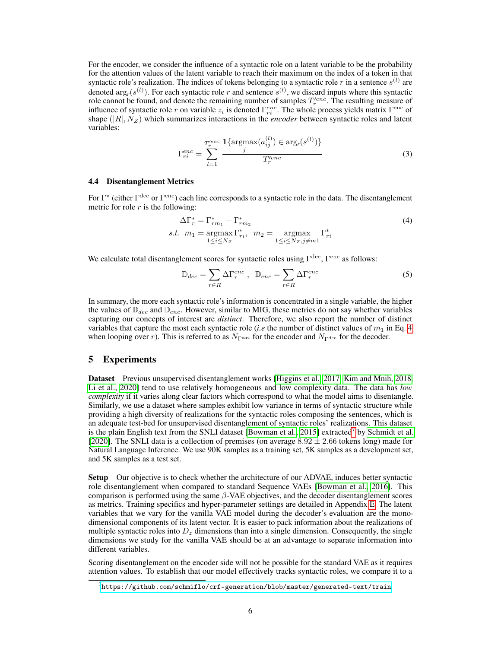For the encoder, we consider the influence of a syntactic role on a latent variable to be the probability for the attention values of the latent variable to reach their maximum on the index of a token in that syntactic role's realization. The indices of tokens belonging to a syntactic role r in a sentence  $s^{(l)}$  are denoted  $\arg_r(s^{(l)})$ . For each syntactic role r and sentence  $s^{(l)}$ , we discard inputs where this syntactic role cannot be found, and denote the remaining number of samples  $T_r^{lenc}$ . The resulting measure of influence of syntactic role r on variable  $z_i$  is denoted  $\Gamma_{ri}^{enc}$ . The whole process yields matrix  $\Gamma_{\text{enc}}$  of shape  $(|R|, N_Z)$  which summarizes interactions in the *encoder* between syntactic roles and latent variables:

$$
\Gamma_{ri}^{enc} = \sum_{l=1}^{T_r^{enc}} \frac{\mathbf{1}\{\text{argmax}(a_{ij}^{(l)}) \in \text{arg}_r(s^{(l)})\}}{T_r^{enc}}
$$
(3)

#### <span id="page-5-1"></span>4.4 Disentanglement Metrics

For  $\Gamma^*$  (either  $\Gamma^{\text{dec}}$  or  $\Gamma^{\text{enc}}$ ) each line corresponds to a syntactic role in the data. The disentanglement metric for role  $r$  is the following:

$$
\Delta\Gamma_r^* = \Gamma_{rm_1}^* - \Gamma_{rm_2}^*
$$
\n
$$
s.t. \ m_1 = \underset{1 \le i \le N_Z}{\operatorname{argmax}} \Gamma_{ri}^*, \ m_2 = \underset{1 \le i \le N_Z, j \ne m_1}{\operatorname{argmax}} \Gamma_{ri}^*
$$
\n
$$
(4)
$$

We calculate total disentanglement scores for syntactic roles using  $\Gamma^{\text{dec}}$ ,  $\Gamma^{\text{enc}}$  as follows:

<span id="page-5-2"></span>
$$
\mathbb{D}_{dec} = \sum_{r \in R} \Delta \Gamma_r^{enc} , \quad \mathbb{D}_{enc} = \sum_{r \in R} \Delta \Gamma_r^{enc}
$$
 (5)

In summary, the more each syntactic role's information is concentrated in a single variable, the higher the values of  $\mathbb{D}_{dec}$  and  $\mathbb{D}_{enc}$ . However, similar to MIG, these metrics do not say whether variables capturing our concepts of interest are *distinct*. Therefore, we also report the number of distinct variables that capture the most each syntactic role (*i.e* the number of distinct values of  $m_1$  in Eq. [4](#page-5-2) when looping over r). This is referred to as  $N_{\Gamma^{\text{enc}}}$  for the encoder and  $N_{\Gamma^{\text{dec}}}$  for the decoder.

# <span id="page-5-0"></span>5 Experiments

Dataset Previous unsupervised disentanglement works [\[Higgins et al., 2017,](#page-9-0) [Kim and Mnih, 2018,](#page-10-5) [Li et al., 2020\]](#page-10-1) tend to use relatively homogeneous and low complexity data. The data has *low complexity* if it varies along clear factors which correspond to what the model aims to disentangle. Similarly, we use a dataset where samples exhibit low variance in terms of syntactic structure while providing a high diversity of realizations for the syntactic roles composing the sentences, which is an adequate test-bed for unsupervised disentanglement of syntactic roles' realizations. This dataset is the plain English text from the SNLI dataset [\[Bowman et al., 2015\]](#page-8-4) extracted<sup>[7](#page-5-3)</sup> by [Schmidt et al.](#page-11-1) [\[2020\]](#page-11-1). The SNLI data is a collection of premises (on average  $8.92 \pm 2.66$  tokens long) made for Natural Language Inference. We use 90K samples as a training set, 5K samples as a development set, and 5K samples as a test set.

Setup Our objective is to check whether the architecture of our ADVAE, induces better syntactic role disentanglement when compared to standard Sequence VAEs [\[Bowman et al., 2016\]](#page-8-5). This comparison is performed using the same  $\beta$ -VAE objectives, and the decoder disentanglement scores as metrics. Training specifics and hyper-parameter settings are detailed in Appendix [E.](#page-15-1) The latent variables that we vary for the vanilla VAE model during the decoder's evaluation are the monodimensional components of its latent vector. It is easier to pack information about the realizations of multiple syntactic roles into  $D<sub>z</sub>$  dimensions than into a single dimension. Consequently, the single dimensions we study for the vanilla VAE should be at an advantage to separate information into different variables.

Scoring disentanglement on the encoder side will not be possible for the standard VAE as it requires attention values. To establish that our model effectively tracks syntactic roles, we compare it to a

<span id="page-5-3"></span> $^{7}$ <https://github.com/schmiflo/crf-generation/blob/master/generated-text/train>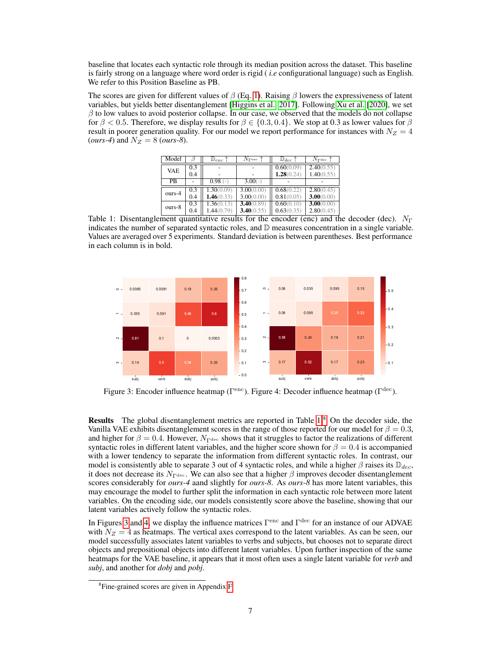baseline that locates each syntactic role through its median position across the dataset. This baseline is fairly strong on a language where word order is rigid ( *i.e* configurational language) such as English. We refer to this Position Baseline as PB.

<span id="page-6-0"></span>The scores are given for different values of  $\beta$  (Eq. [1\)](#page-3-3). Raising  $\beta$  lowers the expressiveness of latent variables, but yields better disentanglement [\[Higgins et al., 2017\]](#page-9-0). Following [Xu et al.](#page-12-0) [\[2020\]](#page-12-0), we set  $\beta$  to low values to avoid posterior collapse. In our case, we observed that the models do not collapse for  $\beta < 0.5$ . Therefore, we display results for  $\beta \in \{0.3, 0.4\}$ . We stop at 0.3 as lower values for  $\beta$ result in poorer generation quality. For our model we report performance for instances with  $N_Z = 4$ (*ours-4*) and  $N_Z = 8$  (*ours-8*).

| Model      |     | $\mathbb{D}_{enc}$ | $N_{\mathrm{Penc}}$ | $\mathbb{D}_{dec}$ | $N_{\Gamma}$ <sub>dec</sub> |
|------------|-----|--------------------|---------------------|--------------------|-----------------------------|
| <b>VAE</b> | 0.3 |                    |                     | 0.60(0.09)         | 2.40(0.55)                  |
|            | 0.4 |                    |                     | 1.28(0.24)         | 1.40(0.55)                  |
| <b>PB</b>  |     | $0.98$ (-          | $3.00(-)$           |                    |                             |
|            | 0.3 | 1.30(0.09)         | 3.00(0.00)          | 0.68(0.22)         | 2.80(0.45)                  |
| ours-4     | 0.4 | 1.46(0.33)         | 3.00(0.00)          | 0.81(0.05)         | 3.00(0.00)                  |
| ours-8     | 0.3 | 1.36(0.13)         | 3.40(0.89)          | 0.60(0.10)         | 3.00(0.00)                  |
|            | 0.4 | 1.44(0.79)         | 3.40(0.55)          | 0.63(0.35)         | 2.80(0.45)                  |

Table 1: Disentanglement quantitative results for the encoder (enc) and the decoder (dec).  $N_{\Gamma}$ indicates the number of separated syntactic roles, and  $D$  measures concentration in a single variable. Values are averaged over 5 experiments. Standard deviation is between parentheses. Best performance in each column is in bold.

<span id="page-6-2"></span>

Figure 3: Encoder influence heatmap ( $\Gamma^{\text{enc}}$ ). Figure 4: Decoder influence heatmap ( $\Gamma^{\text{dec}}$ ).

**Results** The global disentanglement metrics are reported in Table  $1<sup>8</sup>$  $1<sup>8</sup>$  $1<sup>8</sup>$  On the decoder side, the Vanilla VAE exhibits disentanglement scores in the range of those reported for our model for  $\beta = 0.3$ , and higher for  $\beta = 0.4$ . However,  $N_{\text{Tdec}}$  shows that it struggles to factor the realizations of different syntactic roles in different latent variables, and the higher score shown for  $\beta = 0.4$  is accompanied with a lower tendency to separate the information from different syntactic roles. In contrast, our model is consistently able to separate 3 out of 4 syntactic roles, and while a higher  $\beta$  raises its  $\mathbb{D}_{dec}$ , it does not decrease its  $N_{\Gamma^{\text{dec}}}$ . We can also see that a higher  $\beta$  improves decoder disentanglement scores considerably for *ours-4* aand slightly for *ours-8*. As *ours-8* has more latent variables, this may encourage the model to further split the information in each syntactic role between more latent variables. On the encoding side, our models consistently score above the baseline, showing that our latent variables actively follow the syntactic roles.

In Figures [3](#page-6-2) and [4,](#page-6-2) we display the influence matrices  $\Gamma^{\text{enc}}$  and  $\Gamma^{\text{dec}}$  for an instance of our ADVAE with  $N_Z = 4$  as heatmaps. The vertical axes correspond to the latent variables. As can be seen, our model successfully associates latent variables to verbs and subjects, but chooses not to separate direct objects and prepositional objects into different latent variables. Upon further inspection of the same heatmaps for the VAE baseline, it appears that it most often uses a single latent variable for *verb* and *subj*, and another for *dobj* and *pobj*.

<span id="page-6-1"></span><sup>8</sup> Fine-grained scores are given in Appendix [F.](#page-16-0)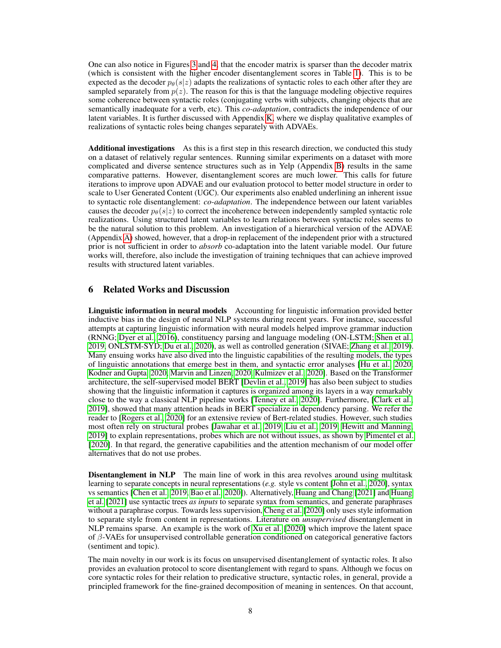One can also notice in Figures [3](#page-6-2) and [4,](#page-6-2) that the encoder matrix is sparser than the decoder matrix (which is consistent with the higher encoder disentanglement scores in Table [1\)](#page-6-0). This is to be expected as the decoder  $p_{\theta}(s|z)$  adapts the realizations of syntactic roles to each other after they are sampled separately from  $p(z)$ . The reason for this is that the language modeling objective requires some coherence between syntactic roles (conjugating verbs with subjects, changing objects that are semantically inadequate for a verb, etc). This *co-adaptation*, contradicts the independence of our latent variables. It is further discussed with Appendix [K,](#page-20-1) where we display qualitative examples of realizations of syntactic roles being changes separately with ADVAEs.

Additional investigations As this is a first step in this research direction, we conducted this study on a dataset of relatively regular sentences. Running similar experiments on a dataset with more complicated and diverse sentence structures such as in Yelp (Appendix [B\)](#page-13-0) results in the same comparative patterns. However, disentanglement scores are much lower. This calls for future iterations to improve upon ADVAE and our evaluation protocol to better model structure in order to scale to User Generated Content (UGC). Our experiments also enabled underlining an inherent issue to syntactic role disentanglement: *co-adaptation*. The independence between our latent variables causes the decoder  $p_{\theta}(s|z)$  to correct the incoherence between independently sampled syntactic role realizations. Using structured latent variables to learn relations between syntactic roles seems to be the natural solution to this problem. An investigation of a hierarchical version of the ADVAE (Appendix [A\)](#page-13-1) showed, however, that a drop-in replacement of the independent prior with a structured prior is not sufficient in order to *absorb* co-adaptation into the latent variable model. Our future works will, therefore, also include the investigation of training techniques that can achieve improved results with structured latent variables.

### 6 Related Works and Discussion

Linguistic information in neural models Accounting for linguistic information provided better inductive bias in the design of neural NLP systems during recent years. For instance, successful attempts at capturing linguistic information with neural models helped improve grammar induction (RNNG; [Dyer et al., 2016\)](#page-9-7), constituency parsing and language modeling (ON-LSTM; [Shen et al.,](#page-11-7) [2019,](#page-11-7) ONLSTM-SYD; [Du et al., 2020\)](#page-9-8), as well as controlled generation (SIVAE; [Zhang et al., 2019\)](#page-12-1). Many ensuing works have also dived into the linguistic capabilities of the resulting models, the types of linguistic annotations that emerge best in them, and syntactic error analyses [\[Hu et al., 2020,](#page-9-9) [Kodner and Gupta, 2020,](#page-10-6) [Marvin and Linzen, 2020,](#page-11-8) [Kulmizev et al., 2020\]](#page-10-7). Based on the Transformer architecture, the self-supervised model BERT [\[Devlin et al., 2019\]](#page-9-4) has also been subject to studies showing that the linguistic information it captures is organized among its layers in a way remarkably close to the way a classical NLP pipeline works [\[Tenney et al., 2020\]](#page-11-9). Furthermore, [\[Clark et al.,](#page-9-6) [2019\]](#page-9-6), showed that many attention heads in BERT specialize in dependency parsing. We refer the reader to [\[Rogers et al., 2020\]](#page-11-10) for an extensive review of Bert-related studies. However, such studies most often rely on structural probes [\[Jawahar et al., 2019,](#page-10-8) [Liu et al., 2019,](#page-10-9) [Hewitt and Manning,](#page-9-10) [2019\]](#page-9-10) to explain representations, probes which are not without issues, as shown by [Pimentel et al.](#page-11-11) [\[2020\]](#page-11-11). In that regard, the generative capabilities and the attention mechanism of our model offer alternatives that do not use probes.

**Disentanglement in NLP** The main line of work in this area revolves around using multitask learning to separate concepts in neural representations (*e.g.* style vs content [\[John et al., 2020\]](#page-10-2), syntax vs semantics [\[Chen et al., 2019,](#page-8-1) [Bao et al., 2020\]](#page-8-2)). Alternatively, [Huang and Chang](#page-10-3) [\[2021\]](#page-10-3) and [Huang](#page-9-2) [et al.](#page-9-2) [\[2021\]](#page-9-2) use syntactic trees *as inputs* to separate syntax from semantics, and generate paraphrases without a paraphrase corpus. Towards less supervision, [Cheng et al.](#page-9-11) [\[2020\]](#page-9-11) only uses style information to separate style from content in representations. Literature on *unsupervised* disentanglement in NLP remains sparse. An example is the work of [Xu et al.](#page-12-0) [\[2020\]](#page-12-0) which improve the latent space of  $\beta$ -VAEs for unsupervised controllable generation conditioned on categorical generative factors (sentiment and topic).

The main novelty in our work is its focus on unsupervised disentanglement of syntactic roles. It also provides an evaluation protocol to score disentanglement with regard to spans. Although we focus on core syntactic roles for their relation to predicative structure, syntactic roles, in general, provide a principled framework for the fine-grained decomposition of meaning in sentences. On that account,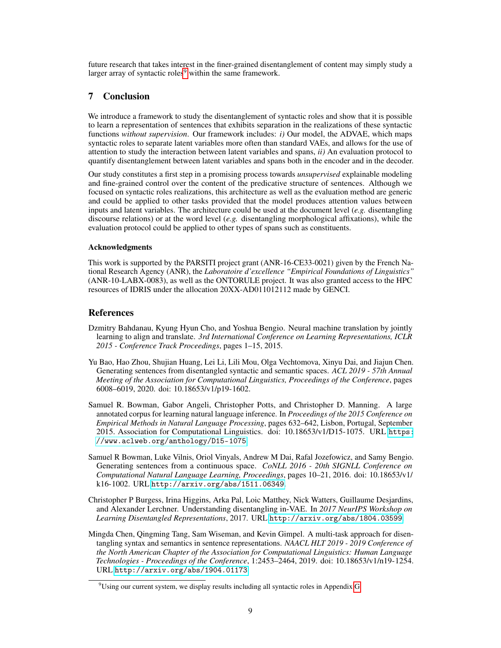future research that takes interest in the finer-grained disentanglement of content may simply study a larger array of syntactic roles $9$  within the same framework.

# 7 Conclusion

We introduce a framework to study the disentanglement of syntactic roles and show that it is possible to learn a representation of sentences that exhibits separation in the realizations of these syntactic functions *without supervision*. Our framework includes: *i)* Our model, the ADVAE, which maps syntactic roles to separate latent variables more often than standard VAEs, and allows for the use of attention to study the interaction between latent variables and spans, *ii)* An evaluation protocol to quantify disentanglement between latent variables and spans both in the encoder and in the decoder.

Our study constitutes a first step in a promising process towards *unsupervised* explainable modeling and fine-grained control over the content of the predicative structure of sentences. Although we focused on syntactic roles realizations, this architecture as well as the evaluation method are generic and could be applied to other tasks provided that the model produces attention values between inputs and latent variables. The architecture could be used at the document level (*e.g.* disentangling discourse relations) or at the word level (*e.g.* disentangling morphological affixations), while the evaluation protocol could be applied to other types of spans such as constituents.

### Acknowledgments

This work is supported by the PARSITI project grant (ANR-16-CE33-0021) given by the French National Research Agency (ANR), the *Laboratoire d'excellence "Empirical Foundations of Linguistics"* (ANR-10-LABX-0083), as well as the ONTORULE project. It was also granted access to the HPC resources of IDRIS under the allocation 20XX-AD011012112 made by GENCI.

### References

- <span id="page-8-3"></span>Dzmitry Bahdanau, Kyung Hyun Cho, and Yoshua Bengio. Neural machine translation by jointly learning to align and translate. *3rd International Conference on Learning Representations, ICLR 2015 - Conference Track Proceedings*, pages 1–15, 2015.
- <span id="page-8-2"></span>Yu Bao, Hao Zhou, Shujian Huang, Lei Li, Lili Mou, Olga Vechtomova, Xinyu Dai, and Jiajun Chen. Generating sentences from disentangled syntactic and semantic spaces. *ACL 2019 - 57th Annual Meeting of the Association for Computational Linguistics, Proceedings of the Conference*, pages 6008–6019, 2020. doi: 10.18653/v1/p19-1602.
- <span id="page-8-4"></span>Samuel R. Bowman, Gabor Angeli, Christopher Potts, and Christopher D. Manning. A large annotated corpus for learning natural language inference. In *Proceedings of the 2015 Conference on Empirical Methods in Natural Language Processing*, pages 632–642, Lisbon, Portugal, September 2015. Association for Computational Linguistics. doi: 10.18653/v1/D15-1075. URL [https:](https://www.aclweb.org/anthology/D15-1075) [//www.aclweb.org/anthology/D15-1075](https://www.aclweb.org/anthology/D15-1075).
- <span id="page-8-5"></span>Samuel R Bowman, Luke Vilnis, Oriol Vinyals, Andrew M Dai, Rafal Jozefowicz, and Samy Bengio. Generating sentences from a continuous space. *CoNLL 2016 - 20th SIGNLL Conference on Computational Natural Language Learning, Proceedings*, pages 10–21, 2016. doi: 10.18653/v1/ k16-1002. URL <http://arxiv.org/abs/1511.06349>.
- <span id="page-8-0"></span>Christopher P Burgess, Irina Higgins, Arka Pal, Loic Matthey, Nick Watters, Guillaume Desjardins, and Alexander Lerchner. Understanding disentangling in-VAE. In *2017 NeurIPS Workshop on Learning Disentangled Representations*, 2017. URL <http://arxiv.org/abs/1804.03599>.
- <span id="page-8-1"></span>Mingda Chen, Qingming Tang, Sam Wiseman, and Kevin Gimpel. A multi-task approach for disentangling syntax and semantics in sentence representations. *NAACL HLT 2019 - 2019 Conference of the North American Chapter of the Association for Computational Linguistics: Human Language Technologies - Proceedings of the Conference*, 1:2453–2464, 2019. doi: 10.18653/v1/n19-1254. URL <http://arxiv.org/abs/1904.01173>.

<span id="page-8-6"></span><sup>&</sup>lt;sup>9</sup>Using our current system, we display results including all syntactic roles in Appendix [G.](#page-16-1)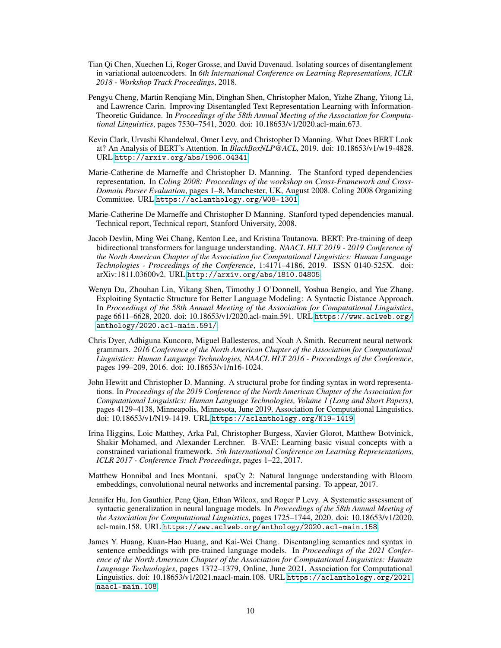- <span id="page-9-1"></span>Tian Qi Chen, Xuechen Li, Roger Grosse, and David Duvenaud. Isolating sources of disentanglement in variational autoencoders. In *6th International Conference on Learning Representations, ICLR 2018 - Workshop Track Proceedings*, 2018.
- <span id="page-9-11"></span>Pengyu Cheng, Martin Renqiang Min, Dinghan Shen, Christopher Malon, Yizhe Zhang, Yitong Li, and Lawrence Carin. Improving Disentangled Text Representation Learning with Information-Theoretic Guidance. In *Proceedings of the 58th Annual Meeting of the Association for Computational Linguistics*, pages 7530–7541, 2020. doi: 10.18653/v1/2020.acl-main.673.
- <span id="page-9-6"></span>Kevin Clark, Urvashi Khandelwal, Omer Levy, and Christopher D Manning. What Does BERT Look at? An Analysis of BERT's Attention. In *BlackBoxNLP@ACL*, 2019. doi: 10.18653/v1/w19-4828. URL <http://arxiv.org/abs/1906.04341>.
- <span id="page-9-3"></span>Marie-Catherine de Marneffe and Christopher D. Manning. The Stanford typed dependencies representation. In *Coling 2008: Proceedings of the workshop on Cross-Framework and Cross-Domain Parser Evaluation*, pages 1–8, Manchester, UK, August 2008. Coling 2008 Organizing Committee. URL <https://aclanthology.org/W08-1301>.
- <span id="page-9-12"></span>Marie-Catherine De Marneffe and Christopher D Manning. Stanford typed dependencies manual. Technical report, Technical report, Stanford University, 2008.
- <span id="page-9-4"></span>Jacob Devlin, Ming Wei Chang, Kenton Lee, and Kristina Toutanova. BERT: Pre-training of deep bidirectional transformers for language understanding. *NAACL HLT 2019 - 2019 Conference of the North American Chapter of the Association for Computational Linguistics: Human Language Technologies - Proceedings of the Conference*, 1:4171–4186, 2019. ISSN 0140-525X. doi: arXiv:1811.03600v2. URL <http://arxiv.org/abs/1810.04805>.
- <span id="page-9-8"></span>Wenyu Du, Zhouhan Lin, Yikang Shen, Timothy J O'Donnell, Yoshua Bengio, and Yue Zhang. Exploiting Syntactic Structure for Better Language Modeling: A Syntactic Distance Approach. In *Proceedings of the 58th Annual Meeting of the Association for Computational Linguistics*, page 6611–6628, 2020. doi: 10.18653/v1/2020.acl-main.591. URL [https://www.aclweb.org/](https://www.aclweb.org/anthology/2020.acl-main.591/) [anthology/2020.acl-main.591/](https://www.aclweb.org/anthology/2020.acl-main.591/).
- <span id="page-9-7"></span>Chris Dyer, Adhiguna Kuncoro, Miguel Ballesteros, and Noah A Smith. Recurrent neural network grammars. *2016 Conference of the North American Chapter of the Association for Computational Linguistics: Human Language Technologies, NAACL HLT 2016 - Proceedings of the Conference*, pages 199–209, 2016. doi: 10.18653/v1/n16-1024.
- <span id="page-9-10"></span>John Hewitt and Christopher D. Manning. A structural probe for finding syntax in word representations. In *Proceedings of the 2019 Conference of the North American Chapter of the Association for Computational Linguistics: Human Language Technologies, Volume 1 (Long and Short Papers)*, pages 4129–4138, Minneapolis, Minnesota, June 2019. Association for Computational Linguistics. doi: 10.18653/v1/N19-1419. URL <https://aclanthology.org/N19-1419>.
- <span id="page-9-0"></span>Irina Higgins, Loic Matthey, Arka Pal, Christopher Burgess, Xavier Glorot, Matthew Botvinick, Shakir Mohamed, and Alexander Lerchner. B-VAE: Learning basic visual concepts with a constrained variational framework. *5th International Conference on Learning Representations, ICLR 2017 - Conference Track Proceedings*, pages 1–22, 2017.
- <span id="page-9-5"></span>Matthew Honnibal and Ines Montani. spaCy 2: Natural language understanding with Bloom embeddings, convolutional neural networks and incremental parsing. To appear, 2017.
- <span id="page-9-9"></span>Jennifer Hu, Jon Gauthier, Peng Qian, Ethan Wilcox, and Roger P Levy. A Systematic assessment of syntactic generalization in neural language models. In *Proceedings of the 58th Annual Meeting of the Association for Computational Linguistics*, pages 1725–1744, 2020. doi: 10.18653/v1/2020. acl-main.158. URL <https://www.aclweb.org/anthology/2020.acl-main.158>.
- <span id="page-9-2"></span>James Y. Huang, Kuan-Hao Huang, and Kai-Wei Chang. Disentangling semantics and syntax in sentence embeddings with pre-trained language models. In *Proceedings of the 2021 Conference of the North American Chapter of the Association for Computational Linguistics: Human Language Technologies*, pages 1372–1379, Online, June 2021. Association for Computational Linguistics. doi: 10.18653/v1/2021.naacl-main.108. URL [https://aclanthology.org/2021.](https://aclanthology.org/2021.naacl-main.108) [naacl-main.108](https://aclanthology.org/2021.naacl-main.108).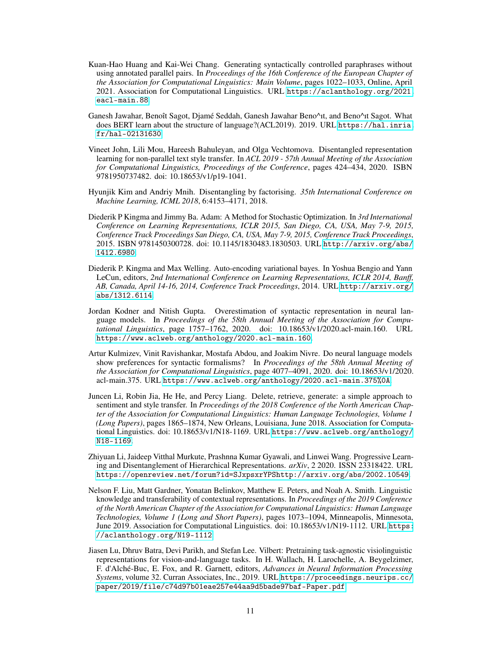- <span id="page-10-3"></span>Kuan-Hao Huang and Kai-Wei Chang. Generating syntactically controlled paraphrases without using annotated parallel pairs. In *Proceedings of the 16th Conference of the European Chapter of the Association for Computational Linguistics: Main Volume*, pages 1022–1033, Online, April 2021. Association for Computational Linguistics. URL [https://aclanthology.org/2021.](https://aclanthology.org/2021.eacl-main.88) [eacl-main.88](https://aclanthology.org/2021.eacl-main.88).
- <span id="page-10-8"></span>Ganesh Jawahar, Benoît Sagot, Djamé Seddah, Ganesh Jawahar Beno^ıt, and Beno^ıt Sagot. What does BERT learn about the structure of language?(ACL2019). 2019. URL [https://hal.inria.](https://hal.inria.fr/hal-02131630) [fr/hal-02131630](https://hal.inria.fr/hal-02131630).
- <span id="page-10-2"></span>Vineet John, Lili Mou, Hareesh Bahuleyan, and Olga Vechtomova. Disentangled representation learning for non-parallel text style transfer. In *ACL 2019 - 57th Annual Meeting of the Association for Computational Linguistics, Proceedings of the Conference*, pages 424–434, 2020. ISBN 9781950737482. doi: 10.18653/v1/p19-1041.
- <span id="page-10-5"></span>Hyunjik Kim and Andriy Mnih. Disentangling by factorising. *35th International Conference on Machine Learning, ICML 2018*, 6:4153–4171, 2018.
- <span id="page-10-11"></span>Diederik P Kingma and Jimmy Ba. Adam: A Method for Stochastic Optimization. In *3rd International Conference on Learning Representations, ICLR 2015, San Diego, CA, USA, May 7-9, 2015, Conference Track Proceedings San Diego, CA, USA, May 7-9, 2015, Conference Track Proceedings*, 2015. ISBN 9781450300728. doi: 10.1145/1830483.1830503. URL [http://arxiv.org/abs/](http://arxiv.org/abs/1412.6980) [1412.6980](http://arxiv.org/abs/1412.6980).
- <span id="page-10-0"></span>Diederik P. Kingma and Max Welling. Auto-encoding variational bayes. In Yoshua Bengio and Yann LeCun, editors, *2nd International Conference on Learning Representations, ICLR 2014, Banff, AB, Canada, April 14-16, 2014, Conference Track Proceedings*, 2014. URL [http://arxiv.org/](http://arxiv.org/abs/1312.6114) [abs/1312.6114](http://arxiv.org/abs/1312.6114).
- <span id="page-10-6"></span>Jordan Kodner and Nitish Gupta. Overestimation of syntactic representation in neural language models. In *Proceedings of the 58th Annual Meeting of the Association for Computational Linguistics*, page 1757–1762, 2020. doi: 10.18653/v1/2020.acl-main.160. URL <https://www.aclweb.org/anthology/2020.acl-main.160>.
- <span id="page-10-7"></span>Artur Kulmizev, Vinit Ravishankar, Mostafa Abdou, and Joakim Nivre. Do neural language models show preferences for syntactic formalisms? In *Proceedings of the 58th Annual Meeting of the Association for Computational Linguistics*, page 4077–4091, 2020. doi: 10.18653/v1/2020. acl-main.375. URL <https://www.aclweb.org/anthology/2020.acl-main.375%0A>.
- <span id="page-10-10"></span>Juncen Li, Robin Jia, He He, and Percy Liang. Delete, retrieve, generate: a simple approach to sentiment and style transfer. In *Proceedings of the 2018 Conference of the North American Chapter of the Association for Computational Linguistics: Human Language Technologies, Volume 1 (Long Papers)*, pages 1865–1874, New Orleans, Louisiana, June 2018. Association for Computational Linguistics. doi: 10.18653/v1/N18-1169. URL [https://www.aclweb.org/anthology/](https://www.aclweb.org/anthology/N18-1169) [N18-1169](https://www.aclweb.org/anthology/N18-1169).
- <span id="page-10-1"></span>Zhiyuan Li, Jaideep Vitthal Murkute, Prashnna Kumar Gyawali, and Linwei Wang. Progressive Learning and Disentanglement of Hierarchical Representations. *arXiv*, 2 2020. ISSN 23318422. URL [https://openreview.net/forum?id=SJxpsxrYPShttp://arxiv.org/abs/2002.10549](https://openreview.net/forum?id=SJxpsxrYPS http://arxiv.org/abs/2002.10549).
- <span id="page-10-9"></span>Nelson F. Liu, Matt Gardner, Yonatan Belinkov, Matthew E. Peters, and Noah A. Smith. Linguistic knowledge and transferability of contextual representations. In *Proceedings of the 2019 Conference of the North American Chapter of the Association for Computational Linguistics: Human Language Technologies, Volume 1 (Long and Short Papers)*, pages 1073–1094, Minneapolis, Minnesota, June 2019. Association for Computational Linguistics. doi: 10.18653/v1/N19-1112. URL [https:](https://aclanthology.org/N19-1112) [//aclanthology.org/N19-1112](https://aclanthology.org/N19-1112).
- <span id="page-10-4"></span>Jiasen Lu, Dhruv Batra, Devi Parikh, and Stefan Lee. Vilbert: Pretraining task-agnostic visiolinguistic representations for vision-and-language tasks. In H. Wallach, H. Larochelle, A. Beygelzimer, F. d'Alché-Buc, E. Fox, and R. Garnett, editors, *Advances in Neural Information Processing Systems*, volume 32. Curran Associates, Inc., 2019. URL [https://proceedings.neurips.cc/](https://proceedings.neurips.cc/paper/2019/file/c74d97b01eae257e44aa9d5bade97baf-Paper.pdf) [paper/2019/file/c74d97b01eae257e44aa9d5bade97baf-Paper.pdf](https://proceedings.neurips.cc/paper/2019/file/c74d97b01eae257e44aa9d5bade97baf-Paper.pdf).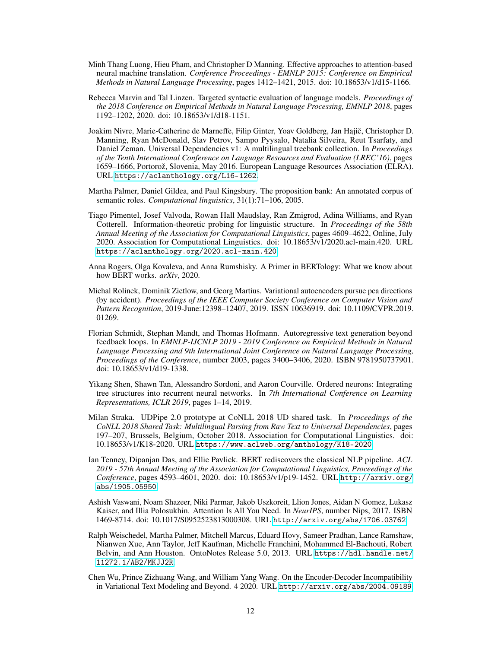- <span id="page-11-2"></span>Minh Thang Luong, Hieu Pham, and Christopher D Manning. Effective approaches to attention-based neural machine translation. *Conference Proceedings - EMNLP 2015: Conference on Empirical Methods in Natural Language Processing*, pages 1412–1421, 2015. doi: 10.18653/v1/d15-1166.
- <span id="page-11-8"></span>Rebecca Marvin and Tal Linzen. Targeted syntactic evaluation of language models. *Proceedings of the 2018 Conference on Empirical Methods in Natural Language Processing, EMNLP 2018*, pages 1192–1202, 2020. doi: 10.18653/v1/d18-1151.
- <span id="page-11-5"></span>Joakim Nivre, Marie-Catherine de Marneffe, Filip Ginter, Yoav Goldberg, Jan Hajic, Christopher D. ˇ Manning, Ryan McDonald, Slav Petrov, Sampo Pyysalo, Natalia Silveira, Reut Tsarfaty, and Daniel Zeman. Universal Dependencies v1: A multilingual treebank collection. In *Proceedings of the Tenth International Conference on Language Resources and Evaluation (LREC'16)*, pages 1659–1666, Portorož, Slovenia, May 2016. European Language Resources Association (ELRA). URL <https://aclanthology.org/L16-1262>.
- <span id="page-11-4"></span>Martha Palmer, Daniel Gildea, and Paul Kingsbury. The proposition bank: An annotated corpus of semantic roles. *Computational linguistics*, 31(1):71–106, 2005.
- <span id="page-11-11"></span>Tiago Pimentel, Josef Valvoda, Rowan Hall Maudslay, Ran Zmigrod, Adina Williams, and Ryan Cotterell. Information-theoretic probing for linguistic structure. In *Proceedings of the 58th Annual Meeting of the Association for Computational Linguistics*, pages 4609–4622, Online, July 2020. Association for Computational Linguistics. doi: 10.18653/v1/2020.acl-main.420. URL <https://aclanthology.org/2020.acl-main.420>.
- <span id="page-11-10"></span>Anna Rogers, Olga Kovaleva, and Anna Rumshisky. A Primer in BERTology: What we know about how BERT works. *arXiv*, 2020.
- <span id="page-11-0"></span>Michal Rolinek, Dominik Zietlow, and Georg Martius. Variational autoencoders pursue pca directions (by accident). *Proceedings of the IEEE Computer Society Conference on Computer Vision and Pattern Recognition*, 2019-June:12398–12407, 2019. ISSN 10636919. doi: 10.1109/CVPR.2019. 01269.
- <span id="page-11-1"></span>Florian Schmidt, Stephan Mandt, and Thomas Hofmann. Autoregressive text generation beyond feedback loops. In *EMNLP-IJCNLP 2019 - 2019 Conference on Empirical Methods in Natural Language Processing and 9th International Joint Conference on Natural Language Processing, Proceedings of the Conference*, number 2003, pages 3400–3406, 2020. ISBN 9781950737901. doi: 10.18653/v1/d19-1338.
- <span id="page-11-7"></span>Yikang Shen, Shawn Tan, Alessandro Sordoni, and Aaron Courville. Ordered neurons: Integrating tree structures into recurrent neural networks. In *7th International Conference on Learning Representations, ICLR 2019*, pages 1–14, 2019.
- <span id="page-11-12"></span>Milan Straka. UDPipe 2.0 prototype at CoNLL 2018 UD shared task. In *Proceedings of the CoNLL 2018 Shared Task: Multilingual Parsing from Raw Text to Universal Dependencies*, pages 197–207, Brussels, Belgium, October 2018. Association for Computational Linguistics. doi: 10.18653/v1/K18-2020. URL <https://www.aclweb.org/anthology/K18-2020>.
- <span id="page-11-9"></span>Ian Tenney, Dipanjan Das, and Ellie Pavlick. BERT rediscovers the classical NLP pipeline. *ACL 2019 - 57th Annual Meeting of the Association for Computational Linguistics, Proceedings of the Conference*, pages 4593–4601, 2020. doi: 10.18653/v1/p19-1452. URL [http://arxiv.org/](http://arxiv.org/abs/1905.05950) [abs/1905.05950](http://arxiv.org/abs/1905.05950).
- <span id="page-11-3"></span>Ashish Vaswani, Noam Shazeer, Niki Parmar, Jakob Uszkoreit, Llion Jones, Aidan N Gomez, Lukasz Kaiser, and Illia Polosukhin. Attention Is All You Need. In *NeurIPS*, number Nips, 2017. ISBN 1469-8714. doi: 10.1017/S0952523813000308. URL <http://arxiv.org/abs/1706.03762>.
- <span id="page-11-6"></span>Ralph Weischedel, Martha Palmer, Mitchell Marcus, Eduard Hovy, Sameer Pradhan, Lance Ramshaw, Nianwen Xue, Ann Taylor, Jeff Kaufman, Michelle Franchini, Mohammed El-Bachouti, Robert Belvin, and Ann Houston. OntoNotes Release 5.0, 2013. URL [https://hdl.handle.net/](https://hdl.handle.net/11272.1/AB2/MKJJ2R) [11272.1/AB2/MKJJ2R](https://hdl.handle.net/11272.1/AB2/MKJJ2R).
- <span id="page-11-13"></span>Chen Wu, Prince Zizhuang Wang, and William Yang Wang. On the Encoder-Decoder Incompatibility in Variational Text Modeling and Beyond. 4 2020. URL <http://arxiv.org/abs/2004.09189>.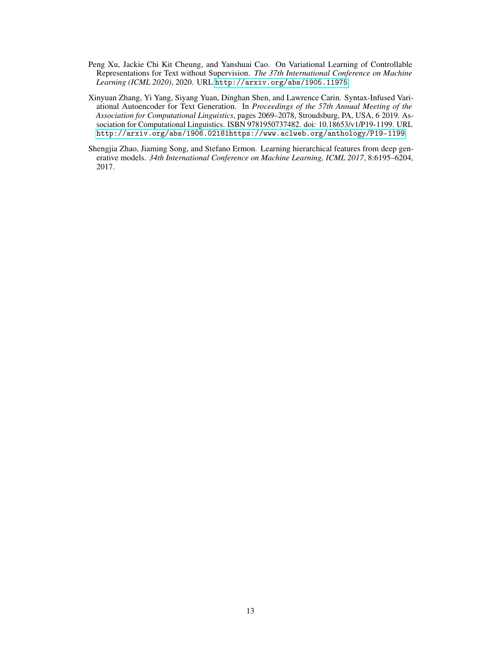- <span id="page-12-0"></span>Peng Xu, Jackie Chi Kit Cheung, and Yanshuai Cao. On Variational Learning of Controllable Representations for Text without Supervision. *The 37th International Conference on Machine Learning (ICML 2020)*, 2020. URL <http://arxiv.org/abs/1905.11975>.
- <span id="page-12-1"></span>Xinyuan Zhang, Yi Yang, Siyang Yuan, Dinghan Shen, and Lawrence Carin. Syntax-Infused Variational Autoencoder for Text Generation. In *Proceedings of the 57th Annual Meeting of the Association for Computational Linguistics*, pages 2069–2078, Stroudsburg, PA, USA, 6 2019. Association for Computational Linguistics. ISBN 9781950737482. doi: 10.18653/v1/P19-1199. URL [http://arxiv.org/abs/1906.02181https://www.aclweb.org/anthology/P19-1199](http://arxiv.org/abs/1906.02181 https://www.aclweb.org/anthology/P19-1199).
- <span id="page-12-2"></span>Shengjia Zhao, Jiaming Song, and Stefano Ermon. Learning hierarchical features from deep generative models. *34th International Conference on Machine Learning, ICML 2017*, 8:6195–6204, 2017.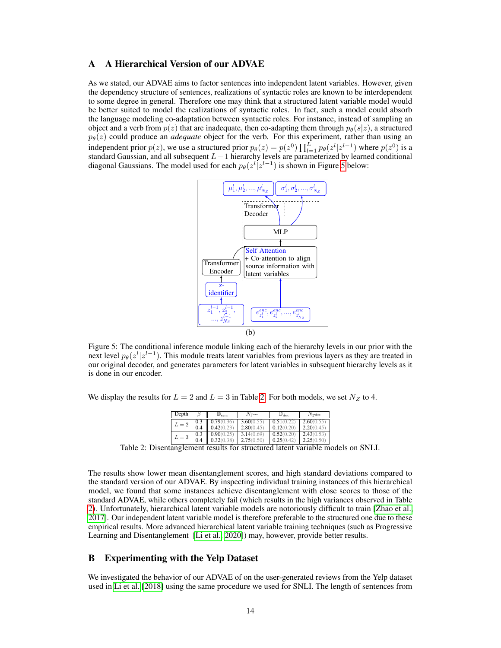# <span id="page-13-1"></span>A A Hierarchical Version of our ADVAE

<span id="page-13-2"></span>As we stated, our ADVAE aims to factor sentences into independent latent variables. However, given the dependency structure of sentences, realizations of syntactic roles are known to be interdependent to some degree in general. Therefore one may think that a structured latent variable model would be better suited to model the realizations of syntactic roles. In fact, such a model could absorb the language modeling co-adaptation between syntactic roles. For instance, instead of sampling an object and a verb from  $p(z)$  that are inadequate, then co-adapting them through  $p_{\theta}(s|z)$ , a structured  $p_{\theta}(z)$  could produce an *adequate* object for the verb. For this experiment, rather than using an independent prior  $p(z)$ , we use a structured prior  $p_{\theta}(z) = p(z^0) \prod_{l=1}^{L} p_{\theta}(z^l | z^{l-1})$  where  $p(z^0)$  is a standard Gaussian, and all subsequent  $L-1$  hierarchy levels are parameterized by learned conditional diagonal Gaussians. The model used for each  $p_{\theta}(z^{l}|z^{l-1})$  is shown in Figure [5](#page-13-2) below:



Figure 5: The conditional inference module linking each of the hierarchy levels in our prior with the next level  $p_{\theta}(z^{l} | z^{l-1})$ . This module treats latent variables from previous layers as they are treated in our original decoder, and generates parameters for latent variables in subsequent hierarchy levels as it is done in our encoder.

<span id="page-13-3"></span>We display the results for  $L = 2$  and  $L = 3$  in Table [2.](#page-13-3) For both models, we set  $N_Z$  to 4.

| Depth |     | $\mathbf{\omega}_{enc}$ | $N_{\Gamma}$ enc | $\mathbb{D}_{dec}$ | $N_{\rm Pdec}$ |
|-------|-----|-------------------------|------------------|--------------------|----------------|
| $L=2$ | 0.3 | 0.79(0.36)              | 3.60(0.55)       | 0.51(0.22)         | 2.60(0.55)     |
|       |     | 0.42(0.23)              | 2.80(0.45)       | 0.12(0.20)         | 2.20(0.45)     |
| $L=3$ | 0.3 | 0.90(0.25)              | 3.14(0.69)       | 0.52(0.20)         | 2.43(0.53)     |
|       |     | 0.32(0.38)              | 2.75(0.50)       | 0.25(0.42)         | 2.25(0.50)     |

Table 2: Disentanglement results for structured latent variable models on SNLI.

The results show lower mean disentanglement scores, and high standard deviations compared to the standard version of our ADVAE. By inspecting individual training instances of this hierarchical model, we found that some instances achieve disentanglement with close scores to those of the standard ADVAE, while others completely fail (which results in the high variances observed in Table [2\)](#page-13-3). Unfortunately, hierarchical latent variable models are notoriously difficult to train [\[Zhao et al.,](#page-12-2) [2017\]](#page-12-2). Our independent latent variable model is therefore preferable to the structured one due to these empirical results. More advanced hierarchical latent variable training techniques (such as Progressive Learning and Disentanglement [\[Li et al., 2020\]](#page-10-1)) may, however, provide better results.

# <span id="page-13-0"></span>B Experimenting with the Yelp Dataset

We investigated the behavior of our ADVAE of on the user-generated reviews from the Yelp dataset used in [Li et al.](#page-10-10) [\[2018\]](#page-10-10) using the same procedure we used for SNLI. The length of sentences from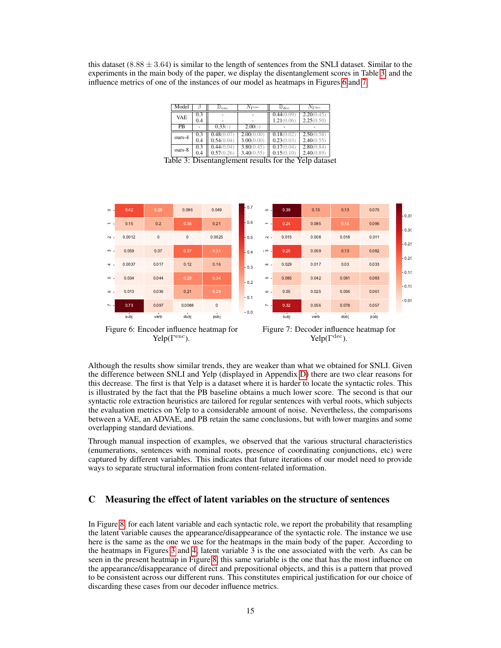<span id="page-14-1"></span>this dataset (8.88  $\pm$  3.64) is similar to the length of sentences from the SNLI dataset. Similar to the experiments in the main body of the paper, we display the disentanglement scores in Table [3,](#page-14-1) and the influence metrics of one of the instances of our model as heatmaps in Figures [6](#page-14-2) and [7.](#page-14-2)

| Model           |     | $\mathbf{\omega}_{enc}$ | $N_{\rm Tenc}$ | $\mathbb{D}_{dec}$ | $N_{\rm Pdec}$ |
|-----------------|-----|-------------------------|----------------|--------------------|----------------|
| <b>VAE</b>      | 0.3 |                         |                | 0.44(0.09)         | 2.20(0.45)     |
|                 | 0.4 |                         |                | 1.21(0.06)         | 2.25(0.50)     |
| $\overline{PB}$ |     | $0.33(-)$               | $2.00(-)$      |                    |                |
| ours-4          | 0.3 | 0.48(0.07)              | 2.00(0.00)     | 0.18(0.02)         | 2.50(0.58)     |
|                 | 0.4 | 0.54(0.04)              | 3.00(0.00)     | 0.23(0.03)         | 2.40(0.55)     |
| ours-8          | 0.3 | 0.44(0.04)              | 3.80(0.45)     | 0.17(0.04)         | 2.80(0.84)     |
|                 | 0.4 | 0.57(0.26)              | 3.40(0.55)     | 0.15(0.10)         | 2.40(0.89)     |

Table 3: Disentanglement results for the Yelp dataset

<span id="page-14-2"></span>

Figure 6: Encoder influence heatmap for Yelp( $\Gamma^{\text{enc}}$ ).



Although the results show similar trends, they are weaker than what we obtained for SNLI. Given the difference between SNLI and Yelp (displayed in Appendix [D\)](#page-15-0) there are two clear reasons for this decrease. The first is that Yelp is a dataset where it is harder to locate the syntactic roles. This is illustrated by the fact that the PB baseline obtains a much lower score. The second is that our syntactic role extraction heuristics are tailored for regular sentences with verbal roots, which subjects the evaluation metrics on Yelp to a considerable amount of noise. Nevertheless, the comparisons between a VAE, an ADVAE, and PB retain the same conclusions, but with lower margins and some overlapping standard deviations.

Through manual inspection of examples, we observed that the various structural characteristics (enumerations, sentences with nominal roots, presence of coordinating conjunctions, etc) were captured by different variables. This indicates that future iterations of our model need to provide ways to separate structural information from content-related information.

# <span id="page-14-0"></span>C Measuring the effect of latent variables on the structure of sentences

In Figure [8,](#page-15-2) for each latent variable and each syntactic role, we report the probability that resampling the latent variable causes the appearance/disappearance of the syntactic role. The instance we use here is the same as the one we use for the heatmaps in the main body of the paper. According to the heatmaps in Figures [3](#page-6-2) and [4,](#page-6-2) latent variable 3 is the one associated with the verb. As can be seen in the present heatmap in Figure [8,](#page-15-2) this same variable is the one that has the most influence on the appearance/disappearance of direct and prepositional objects, and this is a pattern that proved to be consistent across our different runs. This constitutes empirical justification for our choice of discarding these cases from our decoder influence metrics.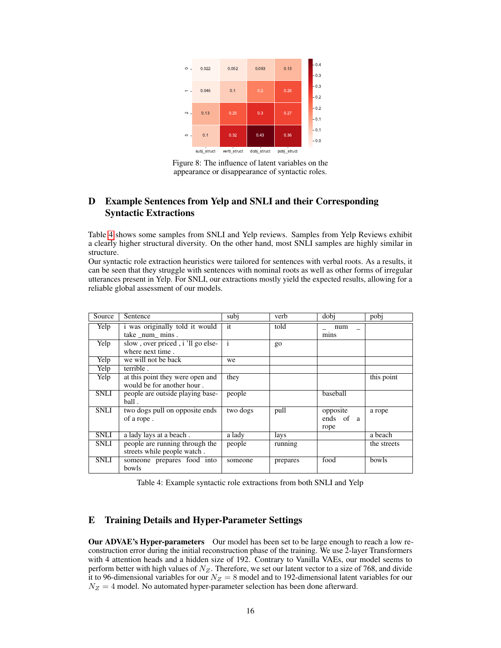<span id="page-15-2"></span>

Figure 8: The influence of latent variables on the appearance or disappearance of syntactic roles.

# <span id="page-15-0"></span>D Example Sentences from Yelp and SNLI and their Corresponding Syntactic Extractions

Table [4](#page-15-3) shows some samples from SNLI and Yelp reviews. Samples from Yelp Reviews exhibit a clearly higher structural diversity. On the other hand, most SNLI samples are highly similar in structure.

Our syntactic role extraction heuristics were tailored for sentences with verbal roots. As a results, it can be seen that they struggle with sentences with nominal roots as well as other forms of irregular utterances present in Yelp. For SNLI, our extractions mostly yield the expected results, allowing for a reliable global assessment of our models.

<span id="page-15-3"></span>

| Source      | Sentence                          | subi         | verb     | dobj      | pobj        |
|-------------|-----------------------------------|--------------|----------|-----------|-------------|
| Yelp        | i was originally told it would    | it           | told     | num       |             |
|             | take num mins.                    |              |          | mins      |             |
| Yelp        | slow, over priced, i 'll go else- | $\mathbf{1}$ | go       |           |             |
|             | where next time.                  |              |          |           |             |
| Yelp        | we will not be back               | we           |          |           |             |
| Yelp        | terrible.                         |              |          |           |             |
| Yelp        | at this point they were open and  | they         |          |           | this point  |
|             | would be for another hour.        |              |          |           |             |
| <b>SNLI</b> | people are outside playing base-  | people       |          | baseball  |             |
|             | ball.                             |              |          |           |             |
| <b>SNLI</b> | two dogs pull on opposite ends    | two dogs     | pull     | opposite  | a rope      |
|             | of a rope.                        |              |          | ends of a |             |
|             |                                   |              |          | rope      |             |
| <b>SNLI</b> | a lady lays at a beach.           | a lady       | lays     |           | a beach     |
| <b>SNLI</b> | people are running through the    | people       | running  |           | the streets |
|             | streets while people watch.       |              |          |           |             |
| <b>SNLI</b> | someone prepares food into        | someone      | prepares | food      | bowls       |
|             | bowls                             |              |          |           |             |

Table 4: Example syntactic role extractions from both SNLI and Yelp

# <span id="page-15-1"></span>E Training Details and Hyper-Parameter Settings

Our ADVAE's Hyper-parameters Our model has been set to be large enough to reach a low reconstruction error during the initial reconstruction phase of the training. We use 2-layer Transformers with 4 attention heads and a hidden size of 192. Contrary to Vanilla VAEs, our model seems to perform better with high values of  $N_Z$ . Therefore, we set our latent vector to a size of 768, and divide it to 96-dimensional variables for our  $N_Z = 8$  model and to 192-dimensional latent variables for our  $N_Z = 4$  model. No automated hyper-parameter selection has been done afterward.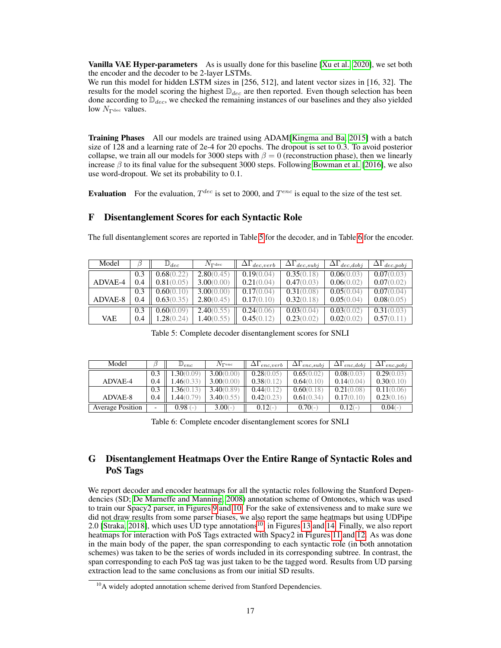**Vanilla VAE Hyper-parameters** As is usually done for this baseline [\[Xu et al., 2020\]](#page-12-0), we set both the encoder and the decoder to be 2-layer LSTMs.

We run this model for hidden LSTM sizes in [256, 512], and latent vector sizes in [16, 32]. The results for the model scoring the highest  $\mathbb{D}_{dec}$  are then reported. Even though selection has been done according to  $\mathbb{D}_{dec}$ , we checked the remaining instances of our baselines and they also yielded low  $N_{\Gamma^{\text{dec}}}$  values.

Training Phases All our models are trained using ADAM[\[Kingma and Ba, 2015\]](#page-10-11) with a batch size of 128 and a learning rate of 2e-4 for 20 epochs. The dropout is set to 0.3. To avoid posterior collapse, we train all our models for 3000 steps with  $\beta = 0$  (reconstruction phase), then we linearly increase  $\beta$  to its final value for the subsequent 3000 steps. Following [Bowman et al.](#page-8-5) [\[2016\]](#page-8-5), we also use word-dropout. We set its probability to 0.1.

**Evaluation** For the evaluation,  $T^{dec}$  is set to 2000, and  $T^{enc}$  is equal to the size of the test set.

# <span id="page-16-0"></span>F Disentanglement Scores for each Syntactic Role

The full disentanglement scores are reported in Table [5](#page-16-2) for the decoder, and in Table [6](#page-16-3) for the encoder.

<span id="page-16-2"></span>

| Model      |     | $\mathbb{D}_{dec}$ | $N_{\rm Pdec}$ | $\Delta\Gamma_{dec,verb}$ | $\Delta \Gamma_{dec,subj}$ | $\Delta \Gamma_{dec, dobj}$ | $\Delta \Gamma_{dec, pobj}$ |
|------------|-----|--------------------|----------------|---------------------------|----------------------------|-----------------------------|-----------------------------|
|            |     | 0.68(0.22)         | 2.80(0.45)     | 0.19(0.04)                | 0.35(0.18)                 | 0.06(0.03)                  | 0.07(0.03)                  |
| ADVAE-4    | 0.4 | 0.81(0.05)         | 3.00(0.00)     | 0.21(0.04)                | 0.47(0.03)                 | 0.06(0.02)                  | 0.07(0.02)                  |
|            | 0.3 | 0.60(0.10)         | 3.00(0.00)     | 0.17(0.04)                | 0.31(0.08)                 | 0.05(0.04)                  | 0.07(0.04)                  |
| ADVAE-8    | 0.4 | 0.63(0.35)         | 2.80(0.45)     | 0.17(0.10)                | 0.32(0.18)                 | 0.05(0.04)                  | 0.08(0.05)                  |
|            | 0.3 | 0.60(0.09)         | 2.40(0.55)     | 0.24(0.06)                | 0.03(0.04)                 | 0.03(0.02)                  | 0.31(0.03)                  |
| <b>VAE</b> | 0.4 | 1.28(0.24)         | 1.40(0.55)     | 0.45(0.12)                | 0.23(0.02)                 | 0.02(0.02)                  | 0.57(0.11)                  |

Table 5: Complete decoder disentanglement scores for SNLI

<span id="page-16-3"></span>

| Model                   |     | $\mathcal{D}_{enc}$ | $N_{\Gamma^{\rm enc}}$ | $\Delta\Gamma_{enc,verb}$ | $\Delta \Gamma_{enc,subj}$ | $\Delta\Gamma_{enc,dobj}$ | $\Delta\Gamma_{enc,pobj}$ |
|-------------------------|-----|---------------------|------------------------|---------------------------|----------------------------|---------------------------|---------------------------|
|                         | 0.3 | .30(0.09)           | 3.00(0.00)             | 0.28(0.05)                | 0.65(0.02)                 | 0.08(0.03)                | 0.29(0.03)                |
| ADVAE-4                 | 0.4 | .46(0.33)           | 3.00(0.00)             | 0.38(0.12)                | 0.64(0.10)                 | 0.14(0.04)                | 0.30(0.10)                |
|                         | 0.3 | .36(0.13)           | 3.40(0.89)             | 0.44(0.12)                | 0.60(0.18)                 | 0.21(0.08)                | 0.11(0.06)                |
| ADVAE-8                 | 0.4 | .44(0.79)           | 3.40(0.55)             | 0.42(0.23)                | 0.61(0.34)                 | 0.17(0.10)                | 0.23(0.16)                |
| <b>Average Position</b> | -   | $0.98(-)$           | $3.00(-)$              | $0.12(-)$                 | $0.70(-)$                  | $0.12(-)$                 | $0.04(-)$                 |

Table 6: Complete encoder disentanglement scores for SNLI

# <span id="page-16-1"></span>G Disentanglement Heatmaps Over the Entire Range of Syntactic Roles and PoS Tags

We report decoder and encoder heatmaps for all the syntactic roles following the Stanford Dependencies (SD; [De Marneffe and Manning, 2008\)](#page-9-12) annotation scheme of Ontonotes, which was used to train our Spacy2 parser, in Figures [9](#page-17-0) and [10.](#page-17-1) For the sake of extensiveness and to make sure we did not draw results from some parser biases, we also report the same heatmaps but using UDPipe 2.0 [\[Straka, 2018\]](#page-11-12), which uses UD type annotations<sup>[10](#page-16-4)</sup>, in Figures [13](#page-18-0) and [14.](#page-18-1) Finally, we also report heatmaps for interaction with PoS Tags extracted with Spacy2 in Figures [11](#page-17-2) and [12.](#page-17-3) As was done in the main body of the paper, the span corresponding to each syntactic role (in both annotation schemes) was taken to be the series of words included in its corresponding subtree. In contrast, the span corresponding to each PoS tag was just taken to be the tagged word. Results from UD parsing extraction lead to the same conclusions as from our initial SD results.

<span id="page-16-4"></span><sup>&</sup>lt;sup>10</sup>A widely adopted annotation scheme derived from Stanford Dependencies.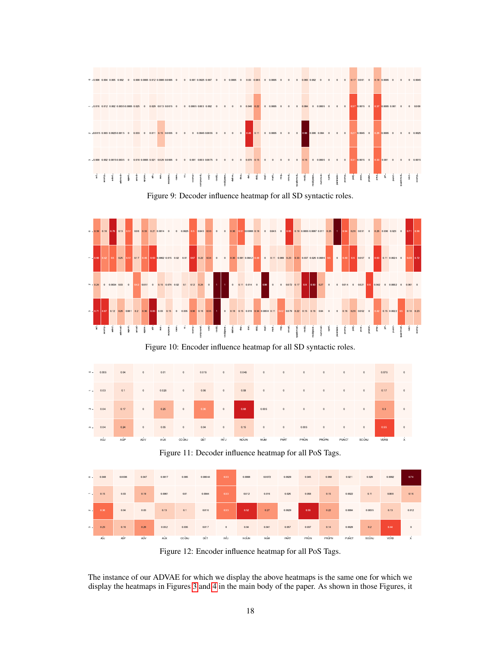<span id="page-17-0"></span>

Figure 9: Decoder influence heatmap for all SD syntactic roles.

<span id="page-17-1"></span>

Figure 10: Encoder influence heatmap for all SD syntactic roles.

<span id="page-17-2"></span>

Figure 11: Decoder influence heatmap for all PoS Tags.

<span id="page-17-3"></span>

Figure 12: Encoder influence heatmap for all PoS Tags.

The instance of our ADVAE for which we display the above heatmaps is the same one for which we display the heatmaps in Figures [3](#page-6-2) and [4](#page-6-2) in the main body of the paper. As shown in those Figures, it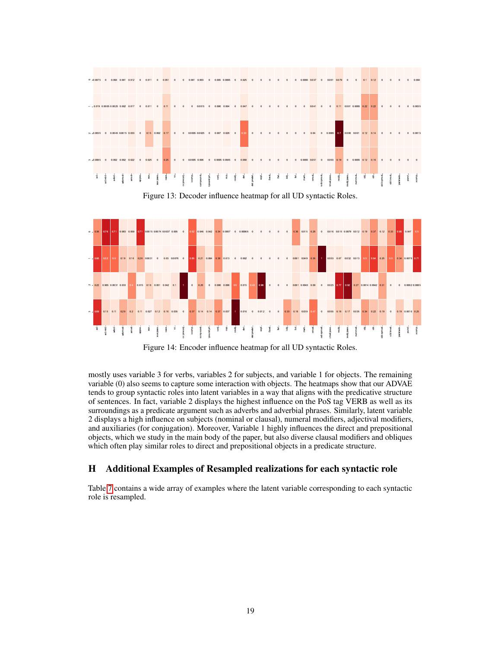<span id="page-18-0"></span>

Figure 13: Decoder influence heatmap for all UD syntactic Roles.

<span id="page-18-1"></span>

Figure 14: Encoder influence heatmap for all UD syntactic Roles.

mostly uses variable 3 for verbs, variables 2 for subjects, and variable 1 for objects. The remaining variable (0) also seems to capture some interaction with objects. The heatmaps show that our ADVAE tends to group syntactic roles into latent variables in a way that aligns with the predicative structure of sentences. In fact, variable 2 displays the highest influence on the PoS tag VERB as well as its surroundings as a predicate argument such as adverbs and adverbial phrases. Similarly, latent variable 2 displays a high influence on subjects (nominal or clausal), numeral modifiers, adjectival modifiers, and auxiliaries (for conjugation). Moreover, Variable 1 highly influences the direct and prepositional objects, which we study in the main body of the paper, but also diverse clausal modifiers and obliques which often play similar roles to direct and prepositional objects in a predicate structure.

# <span id="page-18-2"></span>H Additional Examples of Resampled realizations for each syntactic role

Table [7](#page-19-0) contains a wide array of examples where the latent variable corresponding to each syntactic role is resampled.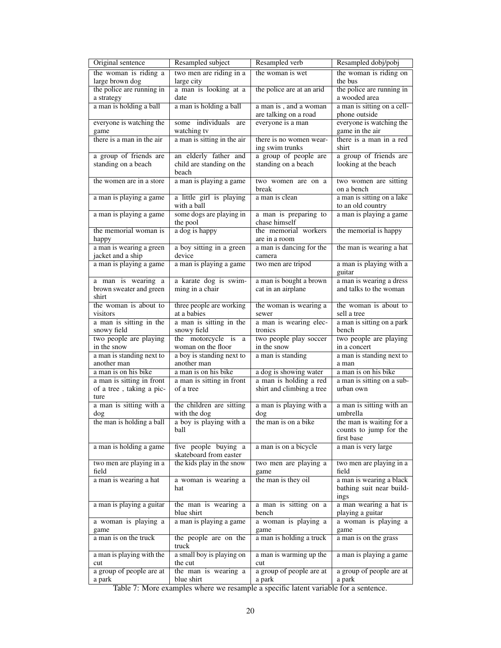<span id="page-19-0"></span>

| Original sentence                                             | Resampled subject                                           | Resampled verb                                      | Resampled dobj/pobj                                              |
|---------------------------------------------------------------|-------------------------------------------------------------|-----------------------------------------------------|------------------------------------------------------------------|
| the woman is riding a<br>large brown dog                      | two men are riding in a<br>large city                       | the woman is wet                                    | the woman is riding on<br>the bus                                |
| the police are running in<br>a strategy                       | a man is looking at a<br>date                               | the police are at an arid                           | the police are running in<br>a wooded area                       |
| a man is holding a ball                                       | a man is holding a ball                                     | a man is, and a woman<br>are talking on a road      | a man is sitting on a cell-<br>phone outside                     |
| everyone is watching the<br>game                              | some individuals are<br>watching tv                         | everyone is a man                                   | everyone is watching the<br>game in the air                      |
| there is a man in the air                                     | a man is sitting in the air                                 | there is no women wear-<br>ing swim trunks          | there is a man in a red<br>shirt                                 |
| a group of friends are<br>standing on a beach                 | an elderly father and<br>child are standing on the<br>beach | a group of people are<br>standing on a beach        | a group of friends are<br>looking at the beach                   |
| the women are in a store                                      | a man is playing a game                                     | two women are on a<br>break                         | two women are sitting<br>on a bench                              |
| a man is playing a game                                       | a little girl is playing<br>with a ball                     | a man is clean                                      | a man is sitting on a lake<br>to an old country                  |
| a man is playing a game                                       | some dogs are playing in<br>the pool                        | a man is preparing to<br>chase himself              | a man is playing a game                                          |
| the memorial woman is                                         | a dog is happy                                              | the memorial workers<br>are in a room               | the memorial is happy                                            |
| happy<br>a man is wearing a green<br>jacket and a ship        | a boy sitting in a green<br>device                          | a man is dancing for the<br>camera                  | the man is wearing a hat                                         |
| a man is playing a game                                       | a man is playing a game                                     | two men are tripod                                  | a man is playing with a<br>guitar                                |
| a man is wearing a<br>brown sweater and green<br>shirt        | a karate dog is swim-<br>ming in a chair                    | a man is bought a brown<br>cat in an airplane       | a man is wearing a dress<br>and talks to the woman               |
| the woman is about to<br>visitors                             | three people are working<br>at a babies                     | the woman is wearing a<br>sewer                     | the woman is about to<br>sell a tree                             |
| a man is sitting in the<br>snowy field                        | a man is sitting in the<br>snowy field                      | a man is wearing elec-<br>tronics                   | a man is sitting on a park<br>bench                              |
| two people are playing<br>in the snow                         | the motorcycle is<br>a<br>woman on the floor                | two people play soccer<br>in the snow               | two people are playing<br>in a concert                           |
| a man is standing next to                                     | a boy is standing next to                                   | a man is standing                                   | a man is standing next to                                        |
| another man<br>a man is on his bike                           | another man<br>a man is on his bike                         | a dog is showing water                              | a man<br>a man is on his bike                                    |
| a man is sitting in front<br>of a tree, taking a pic-<br>ture | a man is sitting in front<br>of a tree                      | a man is holding a red<br>shirt and climbing a tree | a man is sitting on a sub-<br>urban own                          |
| a man is sitting with a<br>dog                                | the children are sitting<br>with the dog                    | a man is playing with a<br>dog                      | a man is sitting with an<br>umbrella                             |
| the man is holding a ball                                     | a boy is playing with a<br>ball                             | the man is on a bike                                | the man is waiting for a<br>counts to jump for the<br>first base |
| a man is holding a game                                       | five people buying a<br>skateboard from easter              | a man is on a bicycle                               | a man is very large                                              |
| two men are playing in a<br>field                             | the kids play in the snow                                   | two men are playing a<br>game                       | two men are playing in a<br>field                                |
| a man is wearing a hat                                        | a woman is wearing a<br>hat                                 | the man is they oil                                 | a man is wearing a black<br>bathing suit near build-<br>ings     |
| a man is playing a guitar                                     | the man is wearing a<br>blue shirt                          | a man is sitting on a<br>bench                      | a man wearing a hat is<br>playing a guitar                       |
| a woman is playing a<br>game                                  | a man is playing a game                                     | a woman is playing a<br>game                        | a woman is playing a<br>game                                     |
| a man is on the truck                                         | the people are on the<br>truck                              | a man is holding a truck                            | a man is on the grass                                            |
| a man is playing with the<br>cut                              | a small boy is playing on<br>the cut                        | a man is warming up the<br>cut                      | a man is playing a game                                          |
| a group of people are at<br>a park                            | the man is wearing a<br>blue shirt                          | a group of people are at<br>a park                  | a group of people are at<br>a park                               |

Table 7: More examples where we resample a specific latent variable for a sentence.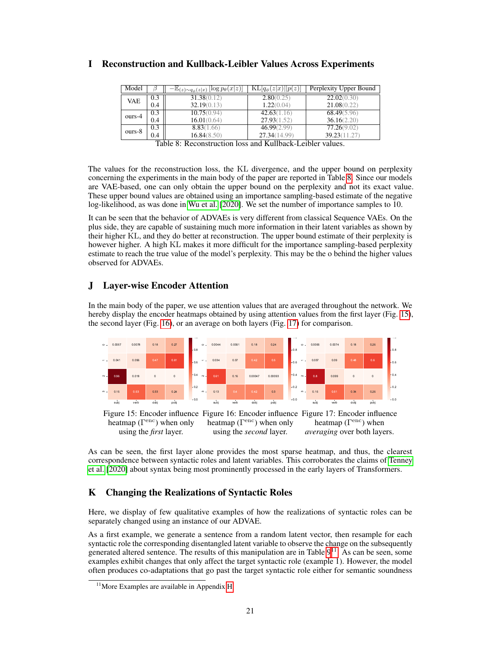| Model      |     | $-\mathbb{E}_{(z)\sim q_{\phi}(z x)}$ [log $p_{\theta}(x z)$ ] | $\overline{\mathrm{KL}}[q_{\phi}(z x)  p(z)]$ | Perplexity Upper Bound |
|------------|-----|----------------------------------------------------------------|-----------------------------------------------|------------------------|
| <b>VAE</b> | 0.3 | 31.38(0.12)                                                    | 2.80(0.25)                                    | 22.02(0.30)            |
|            | 0.4 | 32.19(0.13)                                                    | 1.22(0.04)                                    | 21.08(0.22)            |
| ours-4     | 0.3 | 10.75(0.94)                                                    | 42.63(1.16)                                   | 68.49(5.96)            |
|            | 0.4 | 16.01(0.64)                                                    | 27.93(1.52)                                   | 36.16(2.20)            |
| ours-8     | 0.3 | 8.83(1.66)                                                     | 46.99(2.99)                                   | 77.26(9.02)            |
|            | 0.4 | 16.84(8.50)                                                    | 27.34(14.99)                                  | 39.23(11.27)           |

### <span id="page-20-2"></span>I Reconstruction and Kullback-Leibler Values Across Experiments

Table 8: Reconstruction loss and Kullback-Leibler values.

The values for the reconstruction loss, the KL divergence, and the upper bound on perplexity concerning the experiments in the main body of the paper are reported in Table [8.](#page-20-2) Since our models are VAE-based, one can only obtain the upper bound on the perplexity and not its exact value. These upper bound values are obtained using an importance sampling-based estimate of the negative log-likelihood, as was done in [Wu et al.](#page-11-13) [\[2020\]](#page-11-13). We set the number of importance samples to 10.

It can be seen that the behavior of ADVAEs is very different from classical Sequence VAEs. On the plus side, they are capable of sustaining much more information in their latent variables as shown by their higher KL, and they do better at reconstruction. The upper bound estimate of their perplexity is however higher. A high KL makes it more difficult for the importance sampling-based perplexity estimate to reach the true value of the model's perplexity. This may be the o behind the higher values observed for ADVAEs.

# <span id="page-20-0"></span>J Layer-wise Encoder Attention

In the main body of the paper, we use attention values that are averaged throughout the network. We hereby display the encoder heatmaps obtained by using attention values from the first layer (Fig. [15\)](#page-20-3), the second layer (Fig. [16\)](#page-20-3), or an average on both layers (Fig. [17\)](#page-20-3) for comparison.

<span id="page-20-3"></span>

As can be seen, the first layer alone provides the most sparse heatmap, and thus, the clearest correspondence between syntactic roles and latent variables. This corroborates the claims of [Tenney](#page-11-9) [et al.](#page-11-9) [\[2020\]](#page-11-9) about syntax being most prominently processed in the early layers of Transformers.

# <span id="page-20-1"></span>K Changing the Realizations of Syntactic Roles

Here, we display of few qualitative examples of how the realizations of syntactic roles can be separately changed using an instance of our ADVAE.

As a first example, we generate a sentence from a random latent vector, then resample for each syntactic role the corresponding disentangled latent variable to observe the change on the subsequently generated altered sentence. The results of this manipulation are in Table  $9<sup>11</sup>$  $9<sup>11</sup>$  $9<sup>11</sup>$ . As can be seen, some examples exhibit changes that only affect the target syntactic role (example 1). However, the model often produces co-adaptations that go past the target syntactic role either for semantic soundness

<span id="page-20-4"></span> $11$ More Examples are available in Appendix [H](#page-18-2)